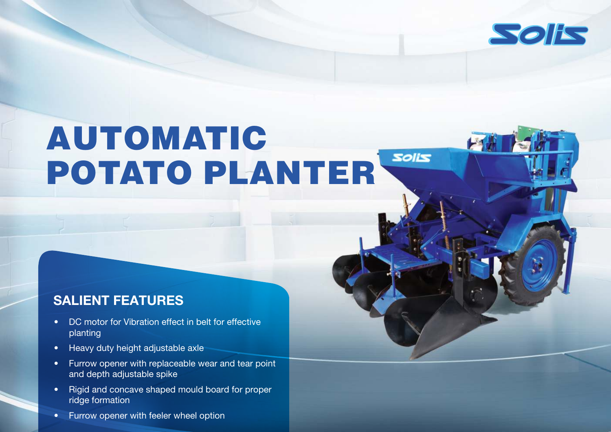

# **AUTOMATIC**  Solis **POTATO PLANTER**

## **SALIENT FEATURES**

- DC motor for Vibration effect in belt for effective planting
- Heavy duty height adjustable axle
- Furrow opener with replaceable wear and tear point and depth adjustable spike
- Rigid and concave shaped mould board for proper ridge formation
- **•** Furrow opener with feeler wheel option